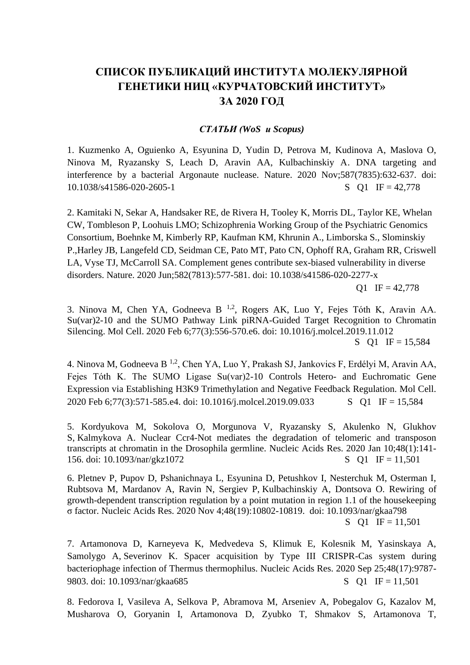## **СПИСОК ПУБЛИКАЦИЙ ИНСТИТУТА МОЛЕКУЛЯРНОЙ ГЕНЕТИКИ НИЦ «КУРЧАТОВСКИЙ ИНСТИТУТ» ЗА 2020 ГОД**

## *СТАТЬИ (WoS и Scopus)*

1. Kuzmenko A, Oguienko A, Esyunina D, Yudin D, Petrova M, Kudinova A, Maslova O, Ninova M, Ryazansky S, Leach D, Aravin AA, Kulbachinskiy A. DNA targeting and interference by a bacterial Argonaute nuclease. Nature. 2020 Nov;587(7835):632-637. doi: 10.1038/s41586-020-2605-1 S O1 IF = 42,778

2. Kamitaki N, Sekar A, Handsaker RE, de Rivera H, Tooley K, Morris DL, Taylor KE, Whelan CW, Tombleson P, Loohuis LMO; Schizophrenia Working Group of the Psychiatric Genomics Consortium, Boehnke M, Kimberly RP, Kaufman KM, Khrunin A., Limborska S., Slominskiy P.,Harley JB, Langefeld CD, Seidman CE, Pato MT, Pato CN, Ophoff RA, Graham RR, Criswell LA, Vyse TJ, McCarroll SA. [Complement genes contribute sex-biased vulnerability in diverse](https://pubmed.ncbi.nlm.nih.gov/32499649/)  [disorders.](https://pubmed.ncbi.nlm.nih.gov/32499649/) Nature. 2020 Jun;582(7813):577-581. doi: 10.1038/s41586-020-2277-x  $Q1 \text{ IF} = 42,778$ 

3. Ninova M, Chen YA, Godneeva B<sup>1,2</sup>, Rogers AK, Luo Y, Fejes Tóth K, Aravin AA. Su(var)2-10 and the SUMO Pathway Link piRNA-Guided Target Recognition to Chromatin Silencing. Mol Cell. 2020 Feb 6;77(3):556-570.e6. doi: 10.1016/j.molcel.2019.11.012 S O1 IF =  $15,584$ 

4. Ninova M, Godneeva B<sup>1,2</sup>, Chen YA, Luo Y, Prakash SJ, Jankovics F, Erdélyi M, Aravin AA, Fejes Tóth K. The SUMO Ligase Su(var)2-10 Controls Hetero- and Euchromatic Gene Expression via Establishing H3K9 Trimethylation and Negative Feedback Regulation. Mol Cell. 2020 Feb 6;77(3):571-585.e4. doi: 10.1016/j.molcel.2019.09.033 S Q1 IF = 15,584

5. Kordyukova M, Sokolova O, Morgunova V, Ryazansky S, Akulenko N, Glukhov S, Kalmykova A. [Nuclear Ccr4-Not mediates the degradation of telomeric and transposon](https://pubmed.ncbi.nlm.nih.gov/31724732/)  [transcripts at chromatin in the Drosophila germline.](https://pubmed.ncbi.nlm.nih.gov/31724732/) Nucleic Acids Res. 2020 Jan 10;48(1):141- 156. doi: 10.1093/nar/gkz1072 S Q1 IF = 11,501

6. Pletnev P, Pupov D, Pshanichnaya L, Esyunina D, Petushkov I, Nesterchuk M, Osterman I, Rubtsova M, Mardanov A, Ravin N, Sergiev P, Kulbachinskiy A, Dontsova O. [Rewiring of](https://pubmed.ncbi.nlm.nih.gov/32997144/)  [growth-dependent transcription regulation by a point mutation in region 1.1 of the housekeeping](https://pubmed.ncbi.nlm.nih.gov/32997144/)  σ [factor.](https://pubmed.ncbi.nlm.nih.gov/32997144/) Nucleic Acids Res. 2020 Nov 4;48(19):10802-10819. doi: 10.1093/nar/gkaa798

S Q1 IF =  $11,501$ 

7. Artamonova D, Karneyeva K, Medvedeva S, Klimuk E, Kolesnik M, Yasinskaya A, Samolygo A, Severinov K. [Spacer acquisition by Type III CRISPR-Cas system during](https://pubmed.ncbi.nlm.nih.gov/32821943/)  [bacteriophage infection of Thermus thermophilus.](https://pubmed.ncbi.nlm.nih.gov/32821943/) Nucleic Acids Res. 2020 Sep 25;48(17):9787- 9803. doi: 10.1093/nar/gkaa685 S Q1 IF = 11,501

8. Fedorova I, Vasileva A, Selkova P, Abramova M, Arseniev A, Pobegalov G, Kazalov M, Musharova O, Goryanin I, Artamonova D, Zyubko T, Shmakov S, Artamonova T,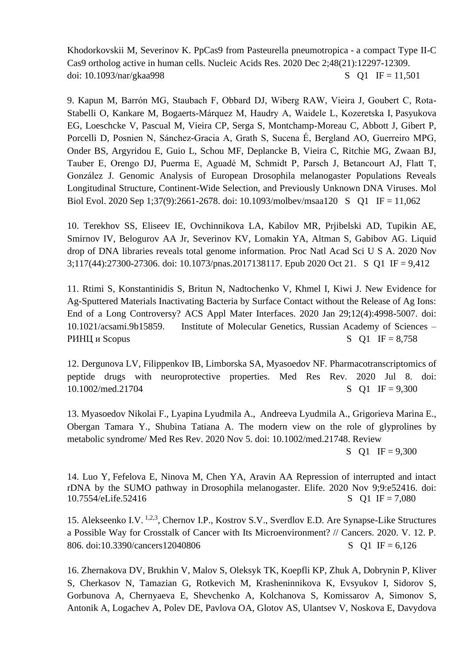Khodorkovskii M, Severinov K. [PpCas9 from Pasteurella pneumotropica](https://pubmed.ncbi.nlm.nih.gov/33152077/) - a compact Type II-C [Cas9 ortholog active in human cells.](https://pubmed.ncbi.nlm.nih.gov/33152077/) Nucleic Acids Res. 2020 Dec 2;48(21):12297-12309. doi:  $10.1093/nar/gkaa998$  S O I IF = 11,501

9. Kapun M, Barrón MG, Staubach F, Obbard DJ, Wiberg RAW, Vieira J, Goubert C, Rota-Stabelli O, Kankare M, Bogaerts-Márquez M, Haudry A, Waidele L, Kozeretska I, Pasyukova EG, Loeschcke V, Pascual M, Vieira CP, Serga S, Montchamp-Moreau C, Abbott J, Gibert P, Porcelli D, Posnien N, Sánchez-Gracia A, Grath S, Sucena É, Bergland AO, Guerreiro MPG, Onder BS, Argyridou E, Guio L, Schou MF, Deplancke B, Vieira C, Ritchie MG, Zwaan BJ, Tauber E, Orengo DJ, Puerma E, Aguadé M, Schmidt P, Parsch J, Betancourt AJ, Flatt T, González J. [Genomic Analysis of European Drosophila melanogaster Populations Reveals](https://pubmed.ncbi.nlm.nih.gov/32413142/)  [Longitudinal Structure, Continent-Wide Selection, and Previously Unknown DNA Viruses.](https://pubmed.ncbi.nlm.nih.gov/32413142/) Mol Biol Evol. 2020 Sep 1;37(9):2661-2678. doi: 10.1093/molbev/msaa120 S Q1 IF = 11,062

10. Terekhov SS, Eliseev IE, Ovchinnikova LA, Kabilov MR, Prjibelski AD, Tupikin AE, Smirnov IV, Belogurov AA Jr, Severinov KV, Lomakin YA, Altman S, Gabibov AG. [Liquid](https://pubmed.ncbi.nlm.nih.gov/33087570/)  [drop of DNA libraries reveals total genome information.](https://pubmed.ncbi.nlm.nih.gov/33087570/) Proc Natl Acad Sci U S A. 2020 Nov 3;117(44):27300-27306. doi: 10.1073/pnas.2017138117. Epub 2020 Oct 21. S Q1 IF = 9,412

11. Rtimi S, Konstantinidis S, Britun N, Nadtochenko V, Khmel I, Kiwi J. New Evidence for Ag-Sputtered Materials Inactivating Bacteria by Surface Contact without the Release of Ag Ions: End of a Long Controversy? ACS Appl Mater Interfaces. 2020 Jan 29;12(4):4998-5007. doi: 10.1021/acsami.9b15859. Institute of Molecular Genetics, Russian Academy of Sciences –  $P$ *HH*II *u* Scopus S Q1 IF = 8,758

12. Dergunova LV, Filippenkov IB, Limborska SA, Myasoedov NF. [Pharmacotranscriptomics of](https://pubmed.ncbi.nlm.nih.gov/32638434/)  peptide drugs [with neuroprotective properties.](https://pubmed.ncbi.nlm.nih.gov/32638434/) Med Res Rev. 2020 Jul 8. doi: 10.1002/med.21704 S Q1 IF = 9,300

13. [Myasoedov](https://onlinelibrary.wiley.com/action/doSearch?ContribAuthorStored=Myasoedov%2C+Nikolai+F) Nikolai F., [Lyapina](https://onlinelibrary.wiley.com/action/doSearch?ContribAuthorStored=Lyapina%2C+Lyudmila+A) Lyudmila A., [Andreeva](https://onlinelibrary.wiley.com/action/doSearch?ContribAuthorStored=Andreeva%2C+Lyudmila+A) Lyudmila A., [Grigorieva](https://onlinelibrary.wiley.com/action/doSearch?ContribAuthorStored=Grigorieva%2C+Marina+E) Marina E., [Obergan](https://onlinelibrary.wiley.com/action/doSearch?ContribAuthorStored=Obergan%2C+Tamara+Y) Tamara Y., [Shubina](https://onlinelibrary.wiley.com/action/doSearch?ContribAuthorStored=Shubina%2C+Tatiana+A) Tatiana A. The modern view on the role of glyprolines by metabolic syndrome/ Med Res Rev. 2020 Nov 5. doi: 10.1002/med.21748. Review

S Q1 IF =  $9,300$ 

14. Luo Y, [Fefelova E, Ninova M, Chen YA, Aravin AA](https://pubmed.ncbi.nlm.nih.gov/33164748/) Repression of interrupted and intact [rDNA by the SUMO pathway in](https://pubmed.ncbi.nlm.nih.gov/33164748/) Drosophila melanogaster. Elife. 2020 Nov 9;9:e52416. doi: 10.7554/eLife.52416 S Q1 IF = 7,080

15. Alekseenko I.V. <sup>1,2,3</sup>, Chernov I.P., Kostrov S.V., Sverdlov E.D. Are Synapse-Like Structures a Possible Way for Crosstalk of Cancer with Its Microenvironment? // Cancers. 2020. V. 12. P. 806. doi:10.3390/cancers12040806 S Q1 IF = 6,126

16. Zhernakova DV, Brukhin V, Malov S, Oleksyk TK, Koepfli KP, Zhuk A, Dobrynin P, Kliver S, Cherkasov N, Tamazian G, Rotkevich M, Krasheninnikova K, Evsyukov I, Sidorov S, Gorbunova A, Chernyaeva E, Shevchenko A, Kolchanova S, Komissarov A, Simonov S, Antonik A, Logachev A, Polev DE, Pavlova OA, Glotov AS, Ulantsev V, Noskova E, Davydova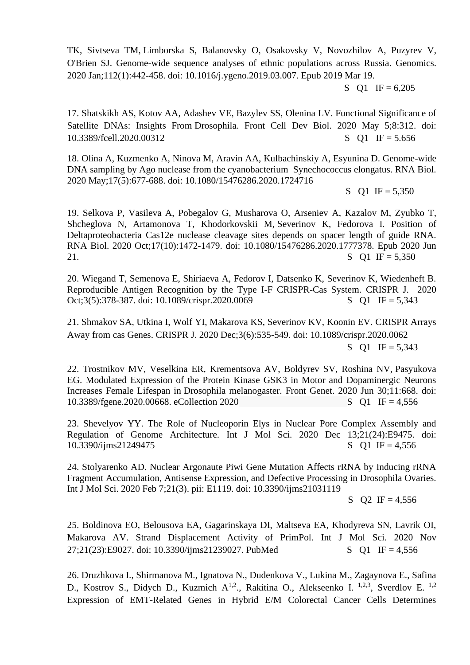TK, Sivtseva TM, Limborska S, Balanovsky O, Osakovsky V, Novozhilov A, Puzyrev V, O'Brien SJ. [Genome-wide sequence analyses of ethnic populations across Russia.](https://pubmed.ncbi.nlm.nih.gov/30902755/) Genomics. 2020 Jan;112(1):442-458. doi: 10.1016/j.ygeno.2019.03.007. Epub 2019 Mar 19.

S Q1 IF =  $6,205$ 

17. Shatskikh AS, Kotov AA, Adashev VE, Bazylev SS, Olenina LV. [Functional Significance of](https://pubmed.ncbi.nlm.nih.gov/32432114/)  [Satellite DNAs: Insights From](https://pubmed.ncbi.nlm.nih.gov/32432114/) Drosophila. Front Cell Dev Biol. 2020 May 5;8:312. doi: 10.3389/fcell.2020.00312 S Q1 IF = 5.656

18. Olina A, Kuzmenko A, Ninova M, Aravin AA, Kulbachinskiy A, Esyunina D. Genome-wide DNA sampling by Ago nuclease from the cyanobacterium Synechococcus elongatus. RNA Biol. 2020 May;17(5):677-688. doi: 10.1080/15476286.2020.1724716

S Q1 IF =  $5,350$ 

19. [Selkova P, Vasileva A, Pobegalov G, Musharova O, Arseniev A, Kazalov M, Zyubko T,](https://pubmed.ncbi.nlm.nih.gov/32564655/)  [Shcheglova N, Artamonova T, Khodorkovskii M,](https://pubmed.ncbi.nlm.nih.gov/32564655/) Severinov K, Fedorova I. Position of [Deltaproteobacteria Cas12e nuclease cleavage sites depends on spacer length of guide RNA.](https://pubmed.ncbi.nlm.nih.gov/32564655/) RNA Biol. 2020 Oct;17(10):1472-1479. doi: 10.1080/15476286.2020.1777378. Epub 2020 Jun 21.  $S \quad Q1 \quad IF = 5,350$ 

20. Wiegand T, Semenova E, Shiriaeva A, Fedorov I, Datsenko K, Severinov K, Wiedenheft B. [Reproducible Antigen Recognition by the Type I-F CRISPR-Cas System.](https://pubmed.ncbi.nlm.nih.gov/33095052/) CRISPR J. 2020 Oct;3(5):378-387. doi: 10.1089/crispr.2020.0069 S Q1 IF = 5,343

21. Shmakov SA, Utkina I, Wolf YI, Makarova KS, Severinov KV, Koonin EV. [CRISPR Arrays](https://pubmed.ncbi.nlm.nih.gov/33346707/)  [Away from](https://pubmed.ncbi.nlm.nih.gov/33346707/) cas Genes. CRISPR J. 2020 Dec;3(6):535-549. doi: 10.1089/crispr.2020.0062 S Q1 IF =  $5,343$ 

22. Trostnikov MV, Veselkina ER, Krementsova AV, Boldyrev SV, Roshina NV, Pasyukova EG. [Modulated Expression of the Protein Kinase GSK3 in Motor and Dopaminergic Neurons](https://pubmed.ncbi.nlm.nih.gov/32695143/)  [Increases Female Lifespan in](https://pubmed.ncbi.nlm.nih.gov/32695143/) Drosophila melanogaster. Front Genet. 2020 Jun 30;11:668. doi: [10.3389/fgene.2020.00668. eCollection 2020 S Q1](https://pubmed.ncbi.nlm.nih.gov/33322130/) IF = 4,556

23. [Shevelyov YY. The Role of Nucleoporin Elys in Nuclear Pore Complex Assembly and](https://pubmed.ncbi.nlm.nih.gov/33322130/)  [Regulation of Genome Architecture.](https://pubmed.ncbi.nlm.nih.gov/33322130/) Int J Mol Sci. 2020 Dec 13;21(24):E9475. doi: 10.3390/ijms21249475 S Q1 IF = 4,556

24. Stolyarenko AD. Nuclear Argonaute Piwi Gene Mutation Affects rRNA by Inducing rRNA Fragment Accumulation, Antisense Expression, and Defective Processing in Drosophila Ovaries. Int J Mol Sci. 2020 Feb 7;21(3). pii: E1119. doi: 10.3390/ijms21031119

S  $Q2 \text{ IF} = 4.556$ 

25. [Boldinova EO, Belousova EA, Gagarinskaya DI, Maltseva EA, Khodyreva SN, Lavrik OI,](https://pubmed.ncbi.nlm.nih.gov/33261049/)  [Makarova AV. Strand Displacement Activity of PrimPol.](https://pubmed.ncbi.nlm.nih.gov/33261049/) Int J Mol Sci. 2020 Nov  $27:21(23):E9027.$  doi:  $10.3390/ijms21239027.$  PubMed S O1 IF = 4,556

26. Druzhkova I., Shirmanova M., Ignatova N., Dudenkova V., Lukina M., Zagaynova E., Safina D., Kostrov S., Didych D., Kuzmich A<sup>1,2</sup>., Rakitina O., Alekseenko I.<sup>1,2,3</sup>, Sverdlov E.<sup>1,2</sup> Expression of EMT-Related Genes in Hybrid E/M Colorectal Cancer Cells Determines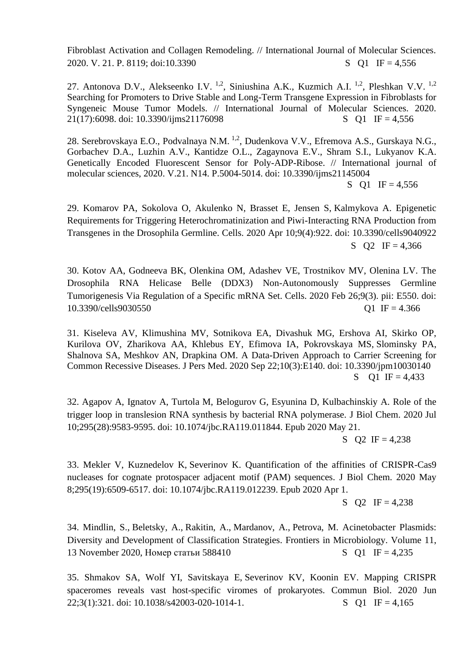Fibroblast Activation and Collagen Remodeling. // International Journal of Molecular Sciences. 2020. V. 21. P. 8119; doi:10.3390 S Q1 IF = 4,556

27. Antonova D.V., Alekseenko I.V. <sup>1,2</sup>, Siniushina A.K., Kuzmich A.I. <sup>1,2</sup>, Pleshkan V.V. <sup>1,2</sup> Searching for Promoters to Drive Stable and Long-Term Transgene Expression in Fibroblasts for Syngeneic Mouse Tumor Models. // International Journal of Molecular Sciences. 2020. 21(17):6098. doi: 10.3390/ijms21176098 S Q1 IF = 4,556

28. Serebrovskaya E.O., Podvalnaya N.M. <sup>1,2</sup>, Dudenkova V.V., Efremova A.S., Gurskaya N.G., Gorbachev D.A., Luzhin A.V., Kantidze O.L., Zagaynova E.V., Shram S.I., Lukyanov K.A. Genetically Encoded Fluorescent Sensor for Poly-ADP-Ribose. // International journal of molecular sciences, 2020. V.21. N14. P.5004-5014. doi: 10.3390/ijms21145004 S Q1 IF =  $4,556$ 

29. Komarov PA, Sokolova O, Akulenko N, Brasset E, Jensen S, Kalmykova A. [Epigenetic](https://pubmed.ncbi.nlm.nih.gov/32290057/)  [Requirements for Triggering Heterochromatinization and Piwi-Interacting RNA Production from](https://pubmed.ncbi.nlm.nih.gov/32290057/)  [Transgenes in the](https://pubmed.ncbi.nlm.nih.gov/32290057/) Drosophila Germline. Cells. 2020 Apr 10;9(4):922. doi: 10.3390/cells9040922 S  $Q2 \text{ IF} = 4,366$ 

30. Kotov AA, Godneeva BK, Olenkina OM, Adashev VE, Trostnikov MV, Olenina LV. The Drosophila RNA Helicase Belle (DDX3) Non-Autonomously Suppresses Germline Tumorigenesis Via Regulation of a Specific mRNA Set. Cells. 2020 Feb 26;9(3). pii: E550. doi: 10.3390/cells9030550 Q1 IF = 4.366

31. Kiseleva AV, Klimushina MV, Sotnikova EA, Divashuk MG, Ershova AI, Skirko OP, Kurilova OV, Zharikova AA, Khlebus EY, Efimova IA, Pokrovskaya MS, Slominsky PA, Shalnova SA, Meshkov AN, Drapkina OM. [A Data-Driven Approach to Carrier Screening for](https://pubmed.ncbi.nlm.nih.gov/32971794/)  [Common Recessive Diseases.](https://pubmed.ncbi.nlm.nih.gov/32971794/) J Pers Med. 2020 Sep 22;10(3):E140. doi: 10.3390/jpm10030140 S Q1 IF =  $4,433$ 

32. [Agapov A, Ignatov A, Turtola M, Belogurov G, Esyunina](https://pubmed.ncbi.nlm.nih.gov/32439804/) D, Kulbachinskiy A. Role of the [trigger loop in translesion RNA synthesis by bacterial RNA polymerase.](https://pubmed.ncbi.nlm.nih.gov/32439804/) J Biol Chem. 2020 Jul 10;295(28):9583-9595. doi: 10.1074/jbc.RA119.011844. Epub 2020 May 21.

S Q2 IF =  $4,238$ 

33. Mekler V, Kuznedelov K, Severinov K. [Quantification of the affinities of CRISPR-Cas9](https://pubmed.ncbi.nlm.nih.gov/32241913/)  [nucleases for cognate protospacer adjacent motif \(PAM\) sequences.](https://pubmed.ncbi.nlm.nih.gov/32241913/) J Biol Chem. 2020 May 8;295(19):6509-6517. doi: 10.1074/jbc.RA119.012239. Epub 2020 Apr 1.

S  $Q2 \text{ IF} = 4,238$ 

34. [Mindlin, S.,](https://www.scopus.com/authid/detail.uri?origin=resultslist&authorId=7005648815&zone=) [Beletsky, A.,](https://www.scopus.com/authid/detail.uri?origin=resultslist&authorId=6603472192&zone=) [Rakitin, A.,](https://www.scopus.com/authid/detail.uri?origin=resultslist&authorId=14219560500&zone=) [Mardanov, A.,](https://www.scopus.com/authid/detail.uri?origin=resultslist&authorId=6603650083&zone=) [Petrova, M.](https://www.scopus.com/authid/detail.uri?origin=resultslist&authorId=7102577348&zone=) [Acinetobacter Plasmids:](https://www.scopus.com/record/display.uri?eid=2-s2.0-85096769509&origin=resultslist&sort=plf-f&src=s&nlo=1&nlr=20&nls=afprfnm-t&affilName=Russian+Academy+of+Sciences+institute+of+molecular+genetics&sid=272cb9a1d8b4b64555b88819cffece9e&sot=afnl&sdt=afsp&sl=80&s=%28AF-ID%28%22Institute+of+Molecular+Genetics++Russian+Academy+of+Sciences%22+60069082%29%29&relpos=8&citeCnt=0&searchTerm=)  [Diversity and Development of Classification Strategies.](https://www.scopus.com/record/display.uri?eid=2-s2.0-85096769509&origin=resultslist&sort=plf-f&src=s&nlo=1&nlr=20&nls=afprfnm-t&affilName=Russian+Academy+of+Sciences+institute+of+molecular+genetics&sid=272cb9a1d8b4b64555b88819cffece9e&sot=afnl&sdt=afsp&sl=80&s=%28AF-ID%28%22Institute+of+Molecular+Genetics++Russian+Academy+of+Sciences%22+60069082%29%29&relpos=8&citeCnt=0&searchTerm=) [Frontiers in Microbiology.](https://www.scopus.com/sourceid/21100226442?origin=resultslist) Volume 11, 13 November 2020, Номер статьи 588410 S O I  $F = 4.235$ 

35. Shmakov SA, Wolf YI, Savitskaya E, Severinov KV, Koonin EV. [Mapping CRISPR](https://pubmed.ncbi.nlm.nih.gov/32572116/)  [spaceromes reveals vast host-specific viromes of prokaryotes.](https://pubmed.ncbi.nlm.nih.gov/32572116/) Commun Biol. 2020 Jun  $22:3(1):321.$  doi:  $10.1038/s42003-020-1014-1.$  S O1 IF = 4,165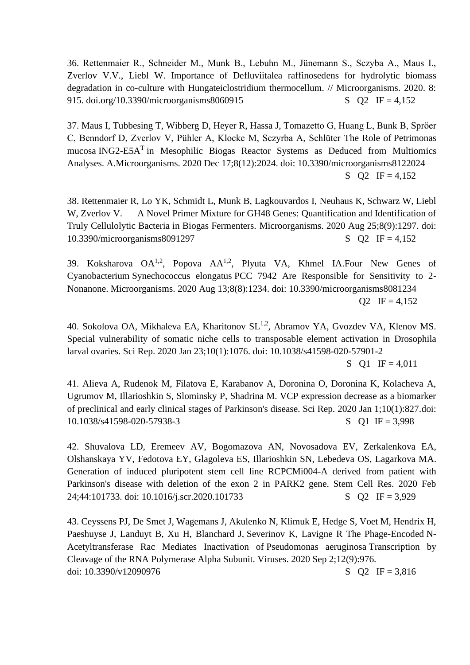36. Rettenmaier R., Schneider M., Munk B., Lebuhn M., Jünemann S., Sczyba A., Maus I., Zverlov V.V., Liebl W. Importance of Defluviitalea raffinosedens for hydrolytic biomass degradation in co-culture with Hungateiclostridium thermocellum. // Microorganisms. 2020. 8: 915. doi.org/10.3390/microorganisms8060915 S Q IF = 4,152

37. Maus I, Tubbesing T, Wibberg D, Heyer R, Hassa J, Tomazetto G, Huang L, Bunk B, Spröer C, Benndorf D, Zverlov V, Pühler A, Klocke M, Sczyrba A, Schlüter [The Role of](https://pubmed.ncbi.nlm.nih.gov/33348776/) Petrimonas mucosa ING2-E5A<sup>T</sup> in Mesophilic Biogas Reactor Systems as Deduced from Multiomics [Analyses.](https://pubmed.ncbi.nlm.nih.gov/33348776/) A.Microorganisms. 2020 Dec 17;8(12):2024. doi: 10.3390/microorganisms8122024 S  $Q2 \text{ IF} = 4,152$ 

[38. Rettenmaier R, Lo YK, Schmidt L, Munk B, Lagkouvardos I, Neuhaus K, Schwarz W, Liebl](https://pubmed.ncbi.nlm.nih.gov/32854333/)  W, Zverlov V. A Novel Primer Mixture for GH48 Genes: Quantification and Identification of [Truly Cellulolytic Bacteria in Biogas Fermenters. Microorganisms. 2020 Aug 25;8\(9\):1297. doi:](https://pubmed.ncbi.nlm.nih.gov/32854333/)  [10.3390/microorganisms8091297](https://pubmed.ncbi.nlm.nih.gov/32854333/) S Q2 IF = 4,152

39. Koksharova  $OA^{1,2}$ , Popova  $AA^{1,2}$ , Plyuta VA, Khmel IA.Four New Genes of Cyanobacterium Synechococcus elongatus [PCC 7942 Are Responsible for Sensitivity to 2-](https://pubmed.ncbi.nlm.nih.gov/32823644/) [Nonanone.](https://pubmed.ncbi.nlm.nih.gov/32823644/) Microorganisms. 2020 Aug 13;8(8):1234. doi: 10.3390/microorganisms8081234  $Q2 \text{ IF} = 4,152$ 

40. Sokolova OA, Mikhaleva EA, Kharitonov SL<sup>1,2</sup>, Abramov YA, Gvozdev VA, Klenov MS. Special vulnerability of somatic niche cells to transposable element activation in Drosophila larval ovaries. Sci Rep. 2020 Jan 23;10(1):1076. doi: 10.1038/s41598-020-57901-2

S Q1 IF =  $4,011$ 

41. Alieva A, Rudenok M, Filatova E, Karabanov A, Doronina O, Doronina K, Kolacheva A, Ugrumov M, Illarioshkin S, Slominsky P, Shadrina M. VCP expression decrease as a biomarker of preclinical and early clinical stages of Parkinson's disease. Sci Rep. 2020 Jan 1;10(1):827.doi: 10.1038/s41598-020-57938-3 S O I IF = 3,998

42. Shuvalova LD, Eremeev AV, Bogomazova AN, Novosadova EV, Zerkalenkova EA, Olshanskaya YV, Fedotova EY, Glagoleva ES, Illarioshkin SN, Lebedeva OS, Lagarkova MA. Generation of induced pluripotent stem cell line RCPCMi004-A derived from patient with Parkinson's disease with deletion of the exon 2 in PARK2 gene. Stem Cell Res. 2020 Feb 24;44:101733. doi: 10.1016/j.scr.2020.101733 S Q 2 IF = 3,929

43. Ceyssens PJ, De Smet J, Wagemans J, Akulenko N, Klimuk E, Hedge S, Voet M, Hendrix H, Paeshuyse J, Landuyt B, Xu H, Blanchard J, Severinov K, Lavigne R The Phage-Encoded N-Acetyltransferase Rac Mediates Inactivation of Pseudomonas aeruginosa Transcription by Cleavage of the RNA Polymerase Alpha Subunit. Viruses. 2020 Sep 2;12(9):976. doi:  $10.3390/v12090976$  S Q2 IF = 3,816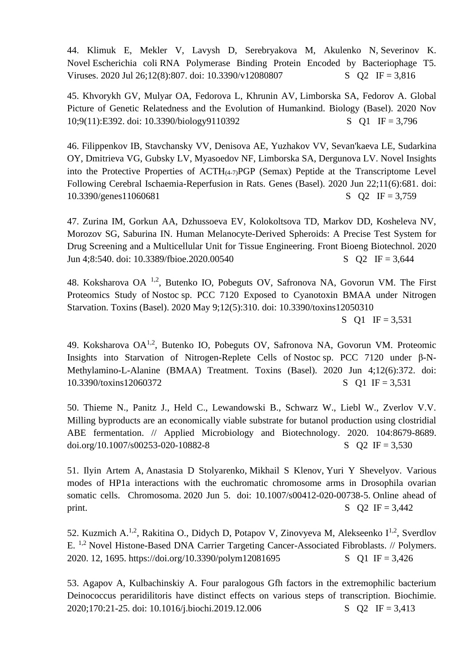44. Klimuk E, Mekler V, Lavysh D, Serebryakova M, Akulenko N, Severinov K. Novel Escherichia coli [RNA Polymerase Binding Protein Encoded by Bacteriophage T5.](https://pubmed.ncbi.nlm.nih.gov/32722583/) Viruses. 2020 Jul 26;12(8):807. doi:  $10.3390/v12080807$  S Q2 IF = 3,816

45. Khvorykh GV, Mulyar OA, Fedorova L, Khrunin AV, Limborska SA, Fedorov A. [Global](https://pubmed.ncbi.nlm.nih.gov/33182715/)  [Picture of Genetic Relatedness and the Evolution of Humankind.](https://pubmed.ncbi.nlm.nih.gov/33182715/) Biology (Basel). 2020 Nov 10;9(11):E392. doi: 10.3390/biology9110392 S Q1 IF = 3,796

46. Filippenkov IB, Stavchansky VV, Denisova AE, Yuzhakov VV, Sevan'kaeva LE, Sudarkina OY, Dmitrieva VG, Gubsky LV, Myasoedov NF, Limborska SA, Dergunova LV. [Novel Insights](https://pubmed.ncbi.nlm.nih.gov/32580520/)  into the Protective Properties of  $\text{ACTH}_{(4-7)}\text{PGP}$  (Semax) Peptide at the Transcriptome Level [Following Cerebral Ischaemia-Reperfusion in Rats.](https://pubmed.ncbi.nlm.nih.gov/32580520/) Genes (Basel). 2020 Jun 22;11(6):681. doi:  $10.3390/genes11060681$  S Q2 IF = 3,759

[47. Zurina IM, Gorkun AA, Dzhussoeva EV, Kolokoltsova TD, Markov DD, Kosheleva NV,](https://pubmed.ncbi.nlm.nih.gov/32582665/)  [Morozov SG, Saburina IN. Human Melanocyte-Derived Spheroids: A Precise Test System for](https://pubmed.ncbi.nlm.nih.gov/32582665/)  [Drug Screening and a Multicellular Unit for Tissue Engineering.](https://pubmed.ncbi.nlm.nih.gov/32582665/) Front Bioeng Biotechnol. 2020 Jun 4;8:540. doi: 10.3389/fbioe.2020.00540 S Q2 IF = 3,644

48. Koksharova OA 1,2, Butenko IO, Pobeguts OV, Safronova NA, Govorun VM. [The First](https://pubmed.ncbi.nlm.nih.gov/32397431/)  Proteomics Study of Nostoc [sp. PCC 7120 Exposed to Cyanotoxin BMAA under Nitrogen](https://pubmed.ncbi.nlm.nih.gov/32397431/)  [Starvation.](https://pubmed.ncbi.nlm.nih.gov/32397431/) Toxins (Basel). 2020 May 9;12(5):310. doi: 10.3390/toxins12050310

S Q1 IF =  $3,531$ 

49. Koksharova OA1,2, Butenko IO, Pobeguts OV, Safronova NA, Govorun VM. [Proteomic](https://pubmed.ncbi.nlm.nih.gov/32512731/)  [Insights into Starvation of Nitrogen-Replete Cells of](https://pubmed.ncbi.nlm.nih.gov/32512731/) Nostoc sp. PCC 7120 under β-N-[Methylamino-L-Alanine \(BMAA\) Treatment.](https://pubmed.ncbi.nlm.nih.gov/32512731/) Toxins (Basel). 2020 Jun 4;12(6):372. doi: 10.3390/toxins12060372 S Q1 IF = 3,531

50. Thieme N., Panitz J., Held C., Lewandowski B., Schwarz W., Liebl W., Zverlov V.V. Milling byproducts are an economically viable substrate for butanol production using clostridial ABE fermentation. // Applied Microbiology and Biotechnology. 2020. 104:8679-8689. doi.org/10.1007/s00253-020-10882-8  $S$  Q IF = 3,530

51. [Ilyin](https://pubmed.ncbi.nlm.nih.gov/?sort=date&term=Ilyin+AA&cauthor_id=32500264) Artem A, [Anastasia D Stolyarenko,](https://pubmed.ncbi.nlm.nih.gov/?sort=date&term=Stolyarenko+AD&cauthor_id=32500264) [Mikhail S Klenov,](https://pubmed.ncbi.nlm.nih.gov/?sort=date&term=Klenov+MS&cauthor_id=32500264) [Yuri Y Shevelyov.](https://pubmed.ncbi.nlm.nih.gov/?sort=date&term=Shevelyov+YY&cauthor_id=32500264) Various modes of HP1a interactions with the euchromatic chromosome arms in Drosophila ovarian somatic cells. Chromosoma. 2020 Jun 5. doi: 10.1007/s00412-020-00738-5. Online ahead of print.  $S \tO2 \tIF = 3,442$ 

52. Kuzmich A.<sup>1,2</sup>, Rakitina O., Didych D, Potapov V, Zinovyeva M, Alekseenko I<sup>1,2</sup>, Sverdlov E. 1,2 Novel Histone-Based DNA Carrier Targeting Cancer-Associated Fibroblasts. // Polymers. 2020. 12, 1695.<https://doi.org/10.3390/polym12081695>S O I IF = 3,426

53. Agapov A, Kulbachinskiy A. Four paralogous Gfh factors in the extremophilic bacterium Deinococcus peraridilitoris have distinct effects on various steps of transcription. Biochimie. 2020;170:21-25. doi: 10.1016/j.biochi.2019.12.006 S Q2 IF = 3,413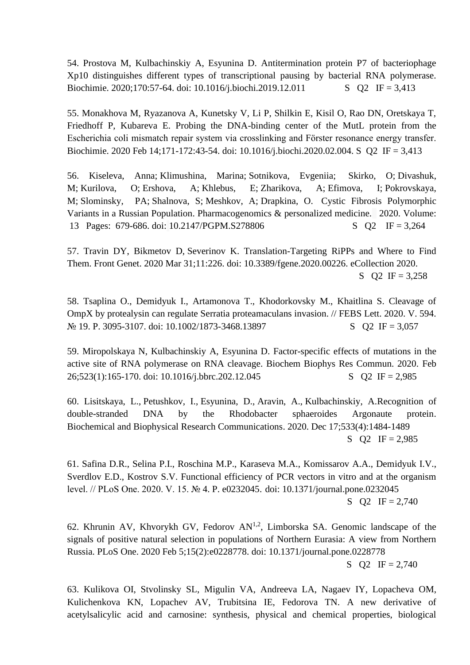54. Prostova M, Kulbachinskiy A, Esyunina D. Antitermination protein P7 of bacteriophage Xp10 distinguishes different types of transcriptional pausing by bacterial RNA polymerase. Biochimie. 2020;170:57-64. doi: 10.1016/j.biochi.2019.12.011 S Q2 IF = 3,413

55. Monakhova M, Ryazanova A, Kunetsky V, Li P, Shilkin E, Kisil O, Rao DN, Oretskaya T, Friedhoff P, Kubareva E. Probing the DNA-binding center of the MutL protein from the Escherichia coli mismatch repair system via crosslinking and Förster resonance energy transfer. Biochimie. 2020 Feb 14;171-172:43-54. doi: 10.1016/j.biochi.2020.02.004. S Q2 IF = 3,413

56. [Kiseleva, Anna;](http://apps.webofknowledge.com/OneClickSearch.do?product=WOS&search_mode=OneClickSearch&excludeEventConfig=ExcludeIfFromFullRecPage&colName=WOS&SID=C1C8rXr9pdEWaXoBy4X&field=AU&value=Kiseleva,%20Anna) [Klimushina, Marina;](http://apps.webofknowledge.com/OneClickSearch.do?product=WOS&search_mode=OneClickSearch&excludeEventConfig=ExcludeIfFromFullRecPage&colName=WOS&SID=C1C8rXr9pdEWaXoBy4X&field=AU&value=Klimushina,%20Marina) [Sotnikova, Evgeniia;](http://apps.webofknowledge.com/OneClickSearch.do?product=WOS&search_mode=OneClickSearch&excludeEventConfig=ExcludeIfFromFullRecPage&colName=WOS&SID=C1C8rXr9pdEWaXoBy4X&field=AU&value=Sotnikova,%20Evgeniia) [Skirko, O;](http://apps.webofknowledge.com/OneClickSearch.do?product=WOS&search_mode=OneClickSearch&excludeEventConfig=ExcludeIfFromFullRecPage&colName=WOS&SID=C1C8rXr9pdEWaXoBy4X&field=AU&value=Skirko,%20O) [Divashuk,](http://apps.webofknowledge.com/OneClickSearch.do?product=WOS&search_mode=OneClickSearch&excludeEventConfig=ExcludeIfFromFullRecPage&colName=WOS&SID=C1C8rXr9pdEWaXoBy4X&field=AU&value=Divashuk,%20M)  [M;](http://apps.webofknowledge.com/OneClickSearch.do?product=WOS&search_mode=OneClickSearch&excludeEventConfig=ExcludeIfFromFullRecPage&colName=WOS&SID=C1C8rXr9pdEWaXoBy4X&field=AU&value=Divashuk,%20M) [Kurilova, O;](http://apps.webofknowledge.com/OneClickSearch.do?product=WOS&search_mode=OneClickSearch&excludeEventConfig=ExcludeIfFromFullRecPage&colName=WOS&SID=C1C8rXr9pdEWaXoBy4X&field=AU&value=Kurilova,%20O) [Ershova, A;](http://apps.webofknowledge.com/OneClickSearch.do?product=WOS&search_mode=OneClickSearch&excludeEventConfig=ExcludeIfFromFullRecPage&colName=WOS&SID=C1C8rXr9pdEWaXoBy4X&field=AU&value=Ershova,%20A) [Khlebus, E;](http://apps.webofknowledge.com/OneClickSearch.do?product=WOS&search_mode=OneClickSearch&excludeEventConfig=ExcludeIfFromFullRecPage&colName=WOS&SID=C1C8rXr9pdEWaXoBy4X&field=AU&value=Khlebus,%20E) [Zharikova, A;](http://apps.webofknowledge.com/OneClickSearch.do?product=WOS&search_mode=OneClickSearch&excludeEventConfig=ExcludeIfFromFullRecPage&colName=WOS&SID=C1C8rXr9pdEWaXoBy4X&field=AU&value=Zharikova,%20A) [Efimova, I;](http://apps.webofknowledge.com/OneClickSearch.do?product=WOS&search_mode=OneClickSearch&excludeEventConfig=ExcludeIfFromFullRecPage&colName=WOS&SID=C1C8rXr9pdEWaXoBy4X&field=AU&value=Efimova,%20I) [Pokrovskaya,](http://apps.webofknowledge.com/OneClickSearch.do?product=WOS&search_mode=OneClickSearch&excludeEventConfig=ExcludeIfFromFullRecPage&colName=WOS&SID=C1C8rXr9pdEWaXoBy4X&field=AU&value=Pokrovskaya,%20M)  [M;](http://apps.webofknowledge.com/OneClickSearch.do?product=WOS&search_mode=OneClickSearch&excludeEventConfig=ExcludeIfFromFullRecPage&colName=WOS&SID=C1C8rXr9pdEWaXoBy4X&field=AU&value=Pokrovskaya,%20M) [Slominsky, PA;](http://apps.webofknowledge.com/OneClickSearch.do?product=WOS&search_mode=OneClickSearch&excludeEventConfig=ExcludeIfFromFullRecPage&colName=WOS&SID=C1C8rXr9pdEWaXoBy4X&field=AU&value=Slominsky,%20PA) [Shalnova, S;](http://apps.webofknowledge.com/OneClickSearch.do?product=WOS&search_mode=OneClickSearch&excludeEventConfig=ExcludeIfFromFullRecPage&colName=WOS&SID=C1C8rXr9pdEWaXoBy4X&field=AU&value=Shalnova,%20S) [Meshkov, A;](http://apps.webofknowledge.com/OneClickSearch.do?product=WOS&search_mode=OneClickSearch&excludeEventConfig=ExcludeIfFromFullRecPage&colName=WOS&SID=C1C8rXr9pdEWaXoBy4X&field=AU&value=Meshkov,%20A) [Drapkina, O.](http://apps.webofknowledge.com/OneClickSearch.do?product=WOS&search_mode=OneClickSearch&excludeEventConfig=ExcludeIfFromFullRecPage&colName=WOS&SID=C1C8rXr9pdEWaXoBy4X&field=AU&value=Drapkina,%20O) [Cystic Fibrosis Polymorphic](http://apps.webofknowledge.com/full_record.do?product=WOS&search_mode=GeneralSearch&qid=6&SID=C1C8rXr9pdEWaXoBy4X&page=1&doc=1)  [Variants in a Russian Population.](http://apps.webofknowledge.com/full_record.do?product=WOS&search_mode=GeneralSearch&qid=6&SID=C1C8rXr9pdEWaXoBy4X&page=1&doc=1) [Pharmacogenomics & personalized medicine.](javascript:;) 2020. Volume: 13 Pages: 679-686. doi: 10.2147/PGPM.S278806 S Q2 IF = 3,264

57. Travin DY, Bikmetov D, Severinov K. [Translation-Targeting RiPPs and Where to Find](https://pubmed.ncbi.nlm.nih.gov/32296456/)  [Them.](https://pubmed.ncbi.nlm.nih.gov/32296456/) Front Genet. 2020 Mar 31;11:226. doi: 10.3389/fgene.2020.00226. eCollection 2020. S  $Q2$  IF = 3,258

58. Tsaplina O., Demidyuk I., Artamonova T., Khodorkovsky M., Khaitlina S. Cleavage of OmpX by protealysin can regulate Serratia proteamaculans invasion. // FEBS Lett. 2020. V. 594.  $\text{N}_2$  19. P. 3095-3107. doi: 10.1002/1873-3468.13897 S Q2 IF = 3,057

59. Miropolskaya N, Kulbachinskiy A, Esyunina D. Factor-specific effects of mutations in the active site of RNA polymerase on RNA cleavage. Biochem Biophys Res Commun. 2020. Feb 26;523(1):165-170. doi: 10.1016/j.bbrc.202.12.045 S Q2 IF = 2,985

60. [Lisitskaya, L.,](https://www.scopus.com/authid/detail.uri?origin=resultslist&authorId=57204881684&zone=) [Petushkov, I.,](https://www.scopus.com/authid/detail.uri?origin=resultslist&authorId=57189022850&zone=) [Esyunina, D.,](https://www.scopus.com/authid/detail.uri?origin=resultslist&authorId=55195728900&zone=) [Aravin, A.,](https://www.scopus.com/authid/detail.uri?origin=resultslist&authorId=6602186564&zone=) [Kulbachinskiy, A.Recognition of](https://www.scopus.com/record/display.uri?eid=2-s2.0-85093974342&origin=resultslist&sort=plf-f&src=s&nlo=1&nlr=20&nls=afprfnm-t&affilName=Russian+Academy+of+Sciences+institute+of+molecular+genetics&sid=b6f2557f02866134eb2a05a51b0c30e5&sot=afnl&sdt=cl&cluster=scopubyr%2c%222020%22%2ct&sl=80&s=%28AF-ID%28%22Institute+of+Molecular+Genetics++Russian+Academy+of+Sciences%22+60069082%29%29&relpos=82&citeCnt=0&searchTerm=)  [double-stranded DNA by the Rhodobacter sphaeroides Argonaute protein.](https://www.scopus.com/record/display.uri?eid=2-s2.0-85093974342&origin=resultslist&sort=plf-f&src=s&nlo=1&nlr=20&nls=afprfnm-t&affilName=Russian+Academy+of+Sciences+institute+of+molecular+genetics&sid=b6f2557f02866134eb2a05a51b0c30e5&sot=afnl&sdt=cl&cluster=scopubyr%2c%222020%22%2ct&sl=80&s=%28AF-ID%28%22Institute+of+Molecular+Genetics++Russian+Academy+of+Sciences%22+60069082%29%29&relpos=82&citeCnt=0&searchTerm=) [Biochemical and Biophysical Research Communications.](https://www.scopus.com/sourceid/16845?origin=resultslist) 2020. Dec 17;533(4):1484-1489 S  $Q2 \text{ IF} = 2,985$ 

61. Safina D.R., Selina P.I., Roschina M.P., Karaseva M.A., Komissarov A.A., Demidyuk I.V., Sverdlov E.D., Kostrov S.V. Functional efficiency of PCR vectors in vitro and at the organism level. // PLoS One. 2020. V. 15. № 4. P. e0232045. doi: 10.1371/journal.pone.0232045 S  $Q2 \text{ IF} = 2,740$ 

62. Khrunin AV, Khvorykh GV, Fedorov  $AN^{1,2}$ , Limborska SA. Genomic landscape of the signals of positive natural selection in populations of Northern Eurasia: A view from Northern Russia. PLoS One. 2020 Feb 5;15(2):e0228778. doi: 10.1371/journal.pone.0228778 S  $Q2 \text{ IF} = 2,740$ 

63. Kulikova OI, Stvolinsky SL, Migulin VA, Andreeva LA, Nagaev IY, Lopacheva OM, Kulichenkova KN, Lopachev AV, Trubitsina IE, Fedorova TN. A new derivative of acetylsalicylic acid and carnosine: synthesis, physical and chemical properties, biological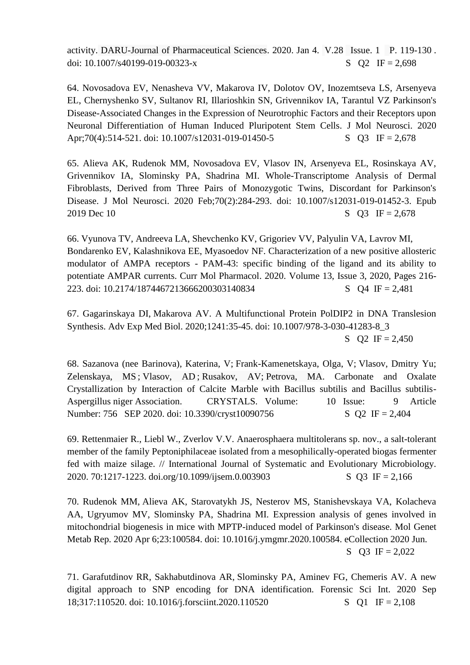activity. DARU-Journal of Pharmaceutical Sciences. 2020. Jan 4. V.28 Issue. 1 P. 119-130 . doi:  $10.1007/s40199-019-00323-x$  S Q IF = 2,698

64. [Novosadova EV, Nenasheva VV, Makarova IV, Dolotov OV, Inozemtseva LS, Arsenyeva](https://pubmed.ncbi.nlm.nih.gov/31820346/)  [EL, Chernyshenko SV, Sultanov RI, Illarioshkin SN, Grivennikov IA, Tarantul VZ](https://pubmed.ncbi.nlm.nih.gov/31820346/) Parkinson's [Disease-Associated Changes in the Expression of Neurotrophic Factors and their Receptors upon](https://pubmed.ncbi.nlm.nih.gov/31820346/)  [Neuronal Differentiation of Human Induced Pluripotent Stem Cells.](https://pubmed.ncbi.nlm.nih.gov/31820346/) J Mol Neurosci. 2020 Apr;70(4):514-521. doi: 10.1007/s12031-019-01450-5 S Q3 IF = 2,678

[65. Alieva AK, Rudenok MM, Novosadova EV, Vlasov IN, Arsenyeva EL, Rosinskaya AV,](https://pubmed.ncbi.nlm.nih.gov/31823283/)  [Grivennikov IA, Slominsky PA, Shadrina MI. Whole-Transcriptome Analysis of Dermal](https://pubmed.ncbi.nlm.nih.gov/31823283/)  [Fibroblasts, Derived from Three Pairs of Monozygotic Twins, Discordant for Parkinson's](https://pubmed.ncbi.nlm.nih.gov/31823283/)  [Disease.](https://pubmed.ncbi.nlm.nih.gov/31823283/) J Mol Neurosci. 2020 Feb;70(2):284-293. doi: 10.1007/s12031-019-01452-3. Epub 2019 Dec 10 S Q3 IF = 2,678

66. Vyunova TV, Andreeva LA, Shevchenko KV, Grigoriev VV, Palyulin VA, Lavrov MI, Bondarenko EV, Kalashnikova EE, Myasoedov NF. Characterization of a new positive allosteric modulator of AMPA receptors - PAM-43: specific binding of the ligand and its ability to potentiate AMPAR currents. Curr Mol Pharmacol. 2020. Volume 13, Issue 3, 2020, Pages 216- 223. doi: 10.2174/1874467213666200303140834 S Q4 IF = 2,481

67. Gagarinskaya DI, [Makarova AV. A Multifunctional Protein PolDIP2 in DNA Translesion](https://pubmed.ncbi.nlm.nih.gov/32383114/)  [Synthesis.](https://pubmed.ncbi.nlm.nih.gov/32383114/) Adv Exp Med Biol. 2020;1241:35-45. doi: 10.1007/978-3-030-41283-8\_3 S  $Q2$  IF = 2,450

68. [Sazanova \(nee Barinova\), Katerina, V;](http://apps.webofknowledge.com/OutboundService.do?SID=F1KubOREfTnJ1aQXyha&mode=rrcAuthorRecordService&action=go&product=WOS&lang=en_US&daisIds=41878073) [Frank-Kamenetskaya, Olga, V;](http://apps.webofknowledge.com/OutboundService.do?SID=F1KubOREfTnJ1aQXyha&mode=rrcAuthorRecordService&action=go&product=WOS&lang=en_US&daisIds=30522469) [Vlasov, Dmitry Yu;](http://apps.webofknowledge.com/OutboundService.do?SID=F1KubOREfTnJ1aQXyha&mode=rrcAuthorRecordService&action=go&product=WOS&lang=en_US&daisIds=41582005) [Zelenskaya, MS](http://apps.webofknowledge.com/OutboundService.do?SID=F1KubOREfTnJ1aQXyha&mode=rrcAuthorRecordService&action=go&product=WOS&lang=en_US&daisIds=41884789) ; [Vlasov, AD](http://apps.webofknowledge.com/OutboundService.do?SID=F1KubOREfTnJ1aQXyha&mode=rrcAuthorRecordService&action=go&product=WOS&lang=en_US&daisIds=40886752) ; [Rusakov, AV;](http://apps.webofknowledge.com/OutboundService.do?SID=F1KubOREfTnJ1aQXyha&mode=rrcAuthorRecordService&action=go&product=WOS&lang=en_US&daisIds=2732176) [Petrova, MA.](http://apps.webofknowledge.com/OutboundService.do?SID=F1KubOREfTnJ1aQXyha&mode=rrcAuthorRecordService&action=go&product=WOS&lang=en_US&daisIds=36076712) [Carbonate and Oxalate](http://apps.webofknowledge.com/full_record.do?product=WOS&search_mode=GeneralSearch&qid=1&SID=F1KubOREfTnJ1aQXyha&page=1&doc=2)  [Crystallization by Interaction of Calcite Marble with Bacillus subtilis and Bacillus subtilis-](http://apps.webofknowledge.com/full_record.do?product=WOS&search_mode=GeneralSearch&qid=1&SID=F1KubOREfTnJ1aQXyha&page=1&doc=2)[Aspergillus niger Association.](http://apps.webofknowledge.com/full_record.do?product=WOS&search_mode=GeneralSearch&qid=1&SID=F1KubOREfTnJ1aQXyha&page=1&doc=2) [CRYSTALS.](javascript:;) Volume: 10 Issue: 9 Article Number: 756 SEP 2020. doi: 10.3390/cryst10090756 S Q2 IF = 2,404

69. Rettenmaier R., Liebl W., Zverlov V.V. Anaerosphaera multitolerans sp. nov., a salt-tolerant member of the family Peptoniphilaceae isolated from a mesophilically-operated biogas fermenter fed with maize silage. // International Journal of Systematic and Evolutionary Microbiology. 2020. 70:1217-1223. doi.org/10.1099/ijsem.0.003903 S Q3 IF = 2,166

70. Rudenok MM, Alieva AK, Starovatykh JS, Nesterov MS, Stanishevskaya VA, Kolacheva AA, Ugryumov MV, Slominsky PA, Shadrina MI. [Expression analysis of genes involved in](https://pubmed.ncbi.nlm.nih.gov/32280590/)  [mitochondrial biogenesis in mice with MPTP-induced model of Parkinson's disease.](https://pubmed.ncbi.nlm.nih.gov/32280590/) Mol Genet Metab Rep. 2020 Apr 6;23:100584. doi: 10.1016/j.ymgmr.2020.100584. eCollection 2020 Jun. S  $Q3 \text{ IF} = 2,022$ 

71. Garafutdinov RR, Sakhabutdinova AR, Slominsky PA, Aminev FG, Chemeris AV. [A new](https://pubmed.ncbi.nlm.nih.gov/33031982/)  [digital approach to SNP encoding for DNA identification.](https://pubmed.ncbi.nlm.nih.gov/33031982/) Forensic Sci Int. 2020 Sep 18;317:110520. doi: 10.1016/j.forsciint.2020.110520 S O I IF = 2,108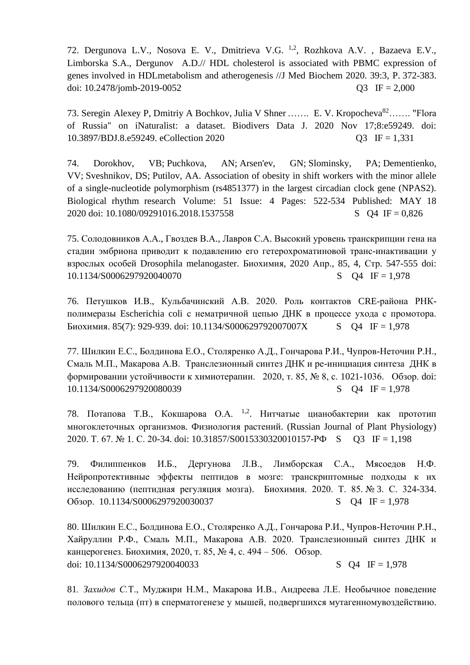72. Dergunova L.V., Nosova E. V., Dmitrieva V.G. 1,2, Rozhkova A.V. , Bazaeva E.V., Limborska S.A., Dergunov A.D.// HDL cholesterol is associated with PBMC expression of genes involved in HDLmetabolism and atherogenesis //J Med Biochem 2020. 39:3, P. 372-383. doi:  $10.2478$ /jomb-2019-0052 Q3 IF = 2,000

73. [Seregin](https://pubmed.ncbi.nlm.nih.gov/?term=Seregin+AP&cauthor_id=33244292) Alexey P, [Dmitriy A Bochkov,](https://pubmed.ncbi.nlm.nih.gov/?term=Bochkov+DA&cauthor_id=33244292) [Julia V Shner](https://pubmed.ncbi.nlm.nih.gov/?term=Shner+JV&cauthor_id=33244292) ……. E. V. Kropocheva<sup>82</sup>……. "Flora of Russia" on iNaturalist: a dataset. Biodivers Data J. 2020 Nov 17;8:e59249. doi: 10.3897/BDJ.8.e59249. eCollection 2020 Q3 IF = 1,331

74. [Dorokhov, VB;](http://apps.webofknowledge.com/OutboundService.do?SID=F1KubOREfTnJ1aQXyha&mode=rrcAuthorRecordService&action=go&product=WOS&lang=en_US&daisIds=809269) [Puchkova, AN;](http://apps.webofknowledge.com/OutboundService.do?SID=F1KubOREfTnJ1aQXyha&mode=rrcAuthorRecordService&action=go&product=WOS&lang=en_US&daisIds=8234662) [Arsen'ev, GN;](http://apps.webofknowledge.com/OutboundService.do?SID=F1KubOREfTnJ1aQXyha&mode=rrcAuthorRecordService&action=go&product=WOS&lang=en_US&daisIds=40133856) [Slominsky, PA;](http://apps.webofknowledge.com/OutboundService.do?SID=F1KubOREfTnJ1aQXyha&mode=rrcAuthorRecordService&action=go&product=WOS&lang=en_US&daisIds=35858081) [Dementienko,](http://apps.webofknowledge.com/OutboundService.do?SID=F1KubOREfTnJ1aQXyha&mode=rrcAuthorRecordService&action=go&product=WOS&lang=en_US&daisIds=1798296)  [VV;](http://apps.webofknowledge.com/OutboundService.do?SID=F1KubOREfTnJ1aQXyha&mode=rrcAuthorRecordService&action=go&product=WOS&lang=en_US&daisIds=1798296) [Sveshnikov, DS;](http://apps.webofknowledge.com/OutboundService.do?SID=F1KubOREfTnJ1aQXyha&mode=rrcAuthorRecordService&action=go&product=WOS&lang=en_US&daisIds=2448209) [Putilov, AA.](http://apps.webofknowledge.com/OutboundService.do?SID=F1KubOREfTnJ1aQXyha&mode=rrcAuthorRecordService&action=go&product=WOS&lang=en_US&daisIds=388502) Association of obesity in shift workers with the minor allele of a single-nucleotide polymorphism (rs4851377) in the largest circadian clock gene (NPAS2). [Biological rhythm research](javascript:;) Volume: 51 Issue: 4 Pages: 522-534 Published: MAY 18 2020 doi: 10.1080/09291016.2018.1537558 S Q4 IF = 0,826

75. Солодовников А.А., Гвоздев В.А., Лавров С.А. Высокий уровень транскрипции гена на стадии эмбриона приводит к подавлению его гетерохроматиновой транс-инактивации у взрослых особей Drosophila melanogaster. Биохимия, 2020 Апр., 85, 4, Стр. 547-555 doi: 10.1134/S0006297920040070 S Q4 IF = 1,978

76. Петушков И.В., Кульбачинский А.В. 2020. Роль контактов CRE-района РНКполимеразы Escherichia coli с нематричной цепью ДНК в процессе ухода с промотора. Биохимия. 85(7): 929-939. doi: 10.1134/S000629792007007X S Q4 IF = 1,978

77. Шилкин Е.С., Болдинова Е.О., Столяренко А.Д., Гончарова Р.И., Чупров-Неточин Р.Н., Смаль М.П., Макарова А.В. Транслезионный синтез ДНК и ре-инициация синтеза ДНК в формировании устойчивости к химиотерапии. 2020, т. 85, № 8, с. 1021-1036. Обзор. doi: 10.1134/S0006297920080039 S Q4 IF = 1,978

78. Потапова Т.В., Кокшарова О.А. <sup>1,2</sup>. Нитчатые цианобактерии как прототип [многоклеточных организмов.](https://elibrary.ru/item.asp?id=42339483) [Физиология растений.](https://elibrary.ru/contents.asp?id=42339473) (Russian Journal of Plant Physiology) 2020. T. 67. [№](https://elibrary.ru/contents.asp?id=42339473&selid=42339483) 1. C. 20-34. doi: [10.31857/S0015330320010157-](https://doi.org/10.31857/S0015330320010157)PФ S Q3 IF = 1,198

79. Филиппенков И.Б., Дергунова Л.В., Лимборская С.А., Мясоедов Н.Ф. [Нейропротективные эффекты пептидов в мозге: транскриптомные подходы к их](https://elibrary.ru/item.asp?id=42436562)  [исследованию \(пептидная регуляция мозга\).](https://elibrary.ru/item.asp?id=42436562) [Биохимия.](https://elibrary.ru/contents.asp?id=42436559) 2020. Т. 85. [№](https://elibrary.ru/contents.asp?id=42436559&selid=42436562) 3. С. 324-334. Обзор. 10.1134/S0006297920030037 S Q4 IF = 1,978

80. Шилкин Е.С., Болдинова Е.О., Столяренко А.Д., Гончарова Р.И., Чупров-Неточин Р.Н., Хайруллин Р.Ф., Смаль М.П., Макарова А.В. 2020. Транслезионный синтез ДНК и канцерогенез. Биохимия, 2020, т. 85, № 4, с. 494 – 506. Обзор. doi:  $10.1134/S0006297920040033$  S Q4 IF = 1,978

81*. Захидов С.*[Т., Муджири Н.М., Макарова И.В., Андреева Л.Е. Необычное поведение](https://www.scopus.com/record/display.uri?eid=2-s2.0-85099375501&origin=resultslist&sort=plf-f&src=s&nlo=1&nlr=20&nls=afprfnm-t&affilName=Russian+Academy+of+Sciences+institute+of+molecular+genetics&sid=a8e21bbd38d81767ef3c05741b0c904e&sot=afnl&sdt=cl&cluster=scopubyr%2c%222020%22%2ct&sl=80&s=%28AF-ID%28%22Institute+of+Molecular+Genetics++Russian+Academy+of+Sciences%22+60069082%29%29&relpos=15&citeCnt=0&searchTerm=)  [полового тельца \(пт\) в сперматогенезе у мышей, подвергшихся мутагенномувоздействию.](https://www.elibrary.ru/item.asp?id=44007795)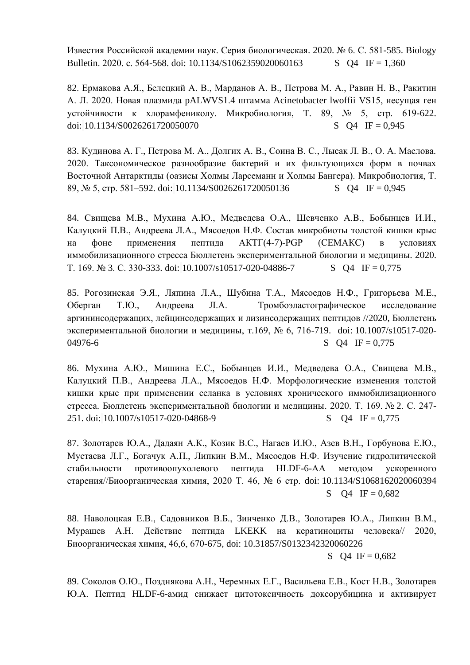[Известия Российской академии наук. Серия биологическая.](https://www.elibrary.ru/contents.asp?id=44007792) 2020. [№](https://www.elibrary.ru/contents.asp?id=44007792&selid=44007795) 6. С. 581-585. [Biology](https://www.scopus.com/sourceid/13606?origin=resultslist) [Bulletin.](https://www.scopus.com/sourceid/13606?origin=resultslist) 2020. c. 564-568. doi: 10.1134/S1062359020060163 S O4 IF = 1,360

82. Ермакова А.Я., Белецкий А. В., Марданов А. В., Петрова М. А., Равин Н. В., Ракитин А. Л. 2020. Новая плазмида pALWVS1.4 штамма Acinetobacter lwoffii VS15, несущая ген устойчивости к хлорамфениколу. Микробиология, T. 89, № 5, стр. 619-622. doi:  $10.1134/S0026261720050070$  S Q4 IF = 0.945

83. Кудинова А. Г., Петрова М. А., Долгих А. В., Соина В. С., Лысак Л. В., О. А. Маслова. 2020. Таксономическое разнообразие бактерий и их фильтующихся форм в почвах Восточной Антарктиды (оазисы Холмы Ларсеманн и Холмы Бангера). Микробиология, Т. 89, № 5, стр. 581–592. doi: 10.1134/S0026261720050136 S Q4 IF = 0,945

84. Свищева М.В., Мухина А.Ю., Медведева О.А., Шевченко А.В., Бобынцев И.И., Калуцкий П.В., Андреева Л.А., Мясоедов Н.Ф. [Состав микробиоты толстой кишки крыс](https://www.elibrary.ru/item.asp?id=42518472)  [на фоне применения пептида АКТГ\(4-7\)-PGP \(СЕМАКС\) в условиях](https://www.elibrary.ru/item.asp?id=42518472)  [иммобилизационного стресса](https://www.elibrary.ru/item.asp?id=42518472) [Бюллетень экспериментальной биологии и медицины.](https://www.elibrary.ru/contents.asp?id=42518458) 2020. T. 169. [№](https://www.elibrary.ru/contents.asp?id=42518458&selid=42518472) 3. C. 330-333. doi: 10.1007/s10517-020-04886-7 S Q4 IF = 0,775

85. Рогозинская Э.Я., Ляпина Л.А., Шубина Т.А., Мясоедов Н.Ф., Григорьева М.Е., Оберган Т.Ю., Андреева Л.А. Тромбоэластографическое исследование аргининсодержащих, лейцинсодержащих и лизинсодержащих пептидов //2020, Бюллетень экспериментальной биологии и медицины, т.169, № 6, 716-719. doi: [10.1007/s10517-020-](https://doi.org/10.1007/s10517-020-04976-6)  $04976-6$  S O4 IF = 0,775

86. Мухина А.Ю., Мишина Е.С., Бобынцев И.И., Медведева О.А., Свищева М.В., Калуцкий П.В., Андреева Л.А., Мясоедов Н.Ф. [Морфологические изменения толстой](https://elibrary.ru/item.asp?id=42329590)  [кишки крыс при применении селанка в условиях хронического иммобилизационного](https://elibrary.ru/item.asp?id=42329590)  [стресса.](https://elibrary.ru/item.asp?id=42329590) [Бюллетень экспериментальной биологии и медицины.](https://elibrary.ru/contents.asp?id=42329567) 2020. Т. 169. [№](https://elibrary.ru/contents.asp?id=42329567&selid=42329590) 2. С. 247- 251. doi: 10.1007/s10517-020-04868-9 S Q4 IF = 0,775

87. Золотарев Ю.А., Дадаян А.К., Козик В.С., Нагаев И.Ю., Азев В.Н., Горбунова Е.Ю., Мустаева Л.Г., Богачук А.П., Липкин В.М., Мясоедов Н.Ф. Изучение гидролитической стабильности противоопухолевого пептида HLDF-6-AA методом ускоренного старения//Биоорганическая химия, 2020 Т. 46, № 6 стр. doi: 10.1134/S1068162020060394 S  $Q4 \text{ IF} = 0.682$ 

88. Наволоцкая Е.В., Садовников В.Б., Зинченко Д.В., Золотарев Ю.А., Липкин В.М., Мурашев А.Н. Действие пептида LKEKK на кератиноциты человека// 2020, Биоорганическая химия, 46,6, 670-675, doi: 10.31857/S0132342320060226 S  $O4$  IF = 0.682

89. Соколов О.Ю., Позднякова А.Н., Черемных Е.Г., Васильева Е.В., Кост Н.В., Золотарев Ю.А. Пептид HLDF-6-амид снижает цитотоксичность доксорубицина и активирует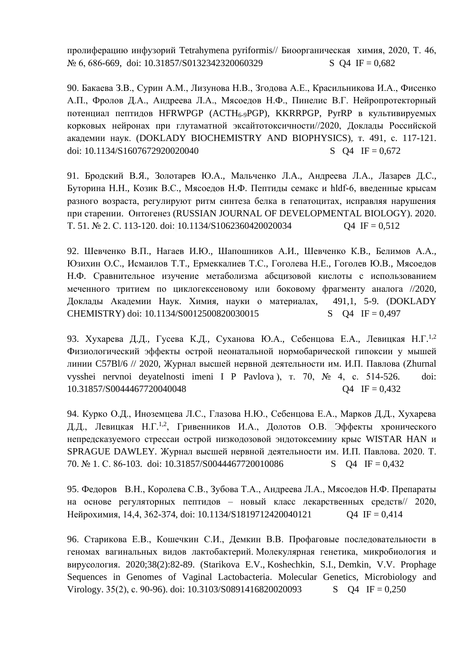пролиферацию инфузорий Tetrahymena pyriformis// Биоорганическая химия, 2020, Т. 46,  $N_2$  6, 686-669, doi: 10.31857/S0132342320060329 S Q4 IF = 0,682

90. Бакаева З.В., Сурин А.М., Лизунова Н.В., Згодова А.Е., Красильникова И.А., Фисенко А.П., Фролов Д.А., Андреева Л.А., Мясоедов Н.Ф., Пинелис В.Г. Нейропротекторный потенциал пептидов HFRWPGP (ACTH6-9PGP), KKRRPGP, PyrRP в культивируемых корковых нейронах при глутаматной эксайтотоксичности//2020, Доклады Российской академии наук. (DOKLADY BIOCHEMISTRY AND BIOPHYSICS), т. 491, с. 117-121. doi: 10.1134/S1607672920020040 S Q4 IF = 0,672

91. Бродский В.Я., Золотарев Ю.А., Мальченко Л.А., Андреева Л.А., Лазарев Д.С., Буторина Н.Н., Козик В.С., Мясоедов Н.Ф. [Пептиды семакс и hldf-6, введенные крысам](https://elibrary.ru/item.asp?id=42414833)  [разного возраста, регулируют ритм синтеза белка в гепатоцитах, исправляя нарушения](https://elibrary.ru/item.asp?id=42414833)  [при старении.](https://elibrary.ru/item.asp?id=42414833) [Онтогенез](https://elibrary.ru/contents.asp?id=42414551) (RUSSIAN JOURNAL OF DEVELOPMENTAL BIOLOGY). 2020. T. 51. [№](https://elibrary.ru/contents.asp?id=42414551&selid=42414833) 2. C. 113-120. doi: 10.1134/S1062360420020034 Q4 IF = 0.512

92. Шевченко В.П., Нагаев И.Ю., Шапошников А.И., Шевченко К.В., Белимов А.А., Юзихин О.С., Исмаилов Т.Т., Ермеккалиев Т.С., Гоголева Н.Е., Гоголев Ю.В., Мясоедов Н.Ф. Сравнительное изучение метаболизма абсцизовой кислоты с использованием меченного тритием по циклогексеновому или боковому фрагменту аналога //2020, Доклады Академии Наук. Химия, науки о материалах, 491,1, 5-9. [\(DOKLADY](javascript:;)  [CHEMISTRY\)](javascript:;) doi: 10.1134/S0012500820030015 S Q4 IF = 0,497

93. Хухарева Д.Д., Гусева К.Д., Суханова Ю.А., Себенцова Е.А., Левицкая Н.Г.<sup>1,2</sup> Физиологический эффекты острой неонатальной нормобарической гипоксии у мышей линии C57Bl/6 // 2020, Журнал высшей нервной деятельности им. И.П. Павлова [\(Zhurnal](javascript:;) vysshei nervnoi [deyatelnosti](javascript:;) imeni I P Pavlova ), т. 70, № 4, с. 514-526. doi: 10.31857/S0044467720040048 Q4 IF = 0,432

94. Курко О.Д., Иноземцева Л.С., Глазова Н.Ю., Себенцова Е.А., Марков Д.Д., Хухарева Д.Д., Левицкая Н.Г.<sup>1,2</sup>, Гривенников И.А., Долотов О.В. Эффекты хронического [непредсказуемого стрессаи острой низкодозовой эндотоксемииу крыс WISTAR](https://elibrary.ru/item.asp?id=42243034) HAN и [SPRAGUE](https://elibrary.ru/item.asp?id=42243034) DAWLEY. [Журнал высшей нервной деятельности им. И.П. Павлова.](https://elibrary.ru/contents.asp?id=42242516) 2020. Т. 70. [№](https://elibrary.ru/contents.asp?id=42242516&selid=42243034) 1. С. 86-103. doi: [10.31857/S0044467720010086](https://doi.org/10.31857/S0044467720010086) S Q4 IF = 0,432

95. Федоров В.Н., Королева С.В., Зубова Т.А., Андреева Л.А., Мясоедов Н.Ф. Препараты на основе регуляторных пептидов – новый класс лекарственных средств// 2020, Нейрохимия, 14,4, 362-374, doi: 10.1134/S1819712420040121 Q4 IF = 0,414

96. Старикова Е.В., Кошечкин С.И., Демкин В.В. Профаговые последовательности в геномах вагинальных видов лактобактерий. Молекулярная генетика, микробиология и вирусология. 2020;38(2):82-89. (Starikova E.V., [Koshechkin, S.I.,](https://www.scopus.com/authid/detail.uri?origin=resultslist&authorId=57192692156&zone=) [Demkin, V.V.](https://www.scopus.com/authid/detail.uri?origin=resultslist&authorId=7006258221&zone=) [Prophage](https://www.scopus.com/record/display.uri?eid=2-s2.0-85090381530&origin=resultslist&sort=plf-f&src=s&nlo=1&nlr=20&nls=afprfnm-t&affilName=russian+academy+of+science+institute+of+molecular+genetics&sid=9c4ecb42e7672b7bcc24161185d84d7b&sot=afnl&sdt=cl&cluster=scopubyr%2c%222020%22%2ct&sl=80&s=%28AF-ID%28%22Institute+of+Molecular+Genetics++Russian+Academy+of+Sciences%22+60069082%29%29&relpos=41&citeCnt=0&searchTerm=)  [Sequences in Genomes of Vaginal Lactobacteria.](https://www.scopus.com/record/display.uri?eid=2-s2.0-85090381530&origin=resultslist&sort=plf-f&src=s&nlo=1&nlr=20&nls=afprfnm-t&affilName=russian+academy+of+science+institute+of+molecular+genetics&sid=9c4ecb42e7672b7bcc24161185d84d7b&sot=afnl&sdt=cl&cluster=scopubyr%2c%222020%22%2ct&sl=80&s=%28AF-ID%28%22Institute+of+Molecular+Genetics++Russian+Academy+of+Sciences%22+60069082%29%29&relpos=41&citeCnt=0&searchTerm=) [Molecular Genetics, Microbiology and](https://www.scopus.com/sourceid/18300156730?origin=resultslist)  [Virology.](https://www.scopus.com/sourceid/18300156730?origin=resultslist) 35(2), c. 90-96). doi: 10.3103/S0891416820020093 S Q4 IF = 0,250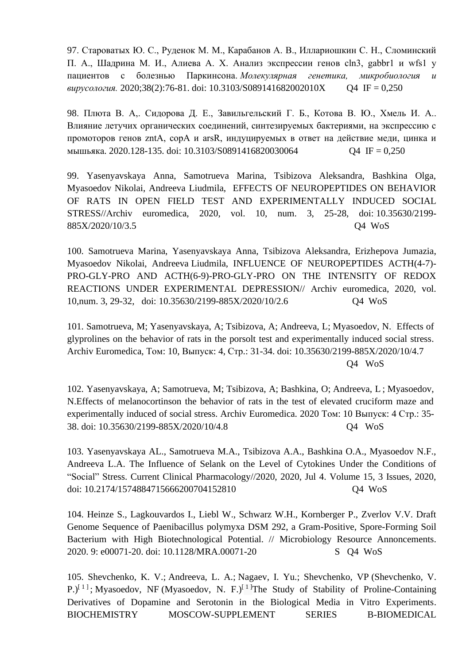97. Староватых Ю. С., Руденок М. М., Карабанов А. В., Иллариошкин С. Н., Сломинский П. А., Шадрина М. И., Алиева А. Х. Анализ экспрессии генов cln3, gabbr1 и wfs1 у пациентов с болезнью Паркинсона. *Молекулярная генетика, микробиология и вирусология.* 2020;38(2):76-81. doi: 10.3103/S089141682002010X Q4 IF = 0,250

98. Плюта [В. А,. Сидорова Д. Е., Завильгельский](https://dlib.eastview.com/browse/doc/61884558) Г. Б., Котова В. Ю., Хмель И. А.. [Влияние летучих органических соединений, синтезируемых бактериями, на экспрессию с](https://dlib.eastview.com/browse/doc/61884558)  [промоторов генов zntA, copA и arsR, индуцируемых в ответ на действие меди, цинка и](https://dlib.eastview.com/browse/doc/61884558)  [мышьяка.](https://dlib.eastview.com/browse/doc/61884558) 2020.128-135. doi: 10.3103/S0891416820030064 Q4 IF = 0,250

99. Yasenyavskaya Anna, Samotrueva Marina, Tsibizova Aleksandra, Bashkina Olga, Myasoedov Nikolai, Andreeva Liudmila, EFFECTS OF NEUROPEPTIDES ON BEHAVIOR OF RATS IN OPEN FIELD TEST AND EXPERIMENTALLY INDUCED SOCIAL STRESS//Аrchiv euromedica, 2020, vol. 10, num. 3, 25-28, doi: 10.35630/2199- 885X/2020/10/3.5 Q4 WoS

100. Samotrueva Marina, Yasenyavskaya Anna, Tsibizova Aleksandra, Erizhepova Jumazia, Myasoedov Nikolai, Andreeva Liudmila, INFLUENCE OF NEUROPEPTIDES ACTH(4-7)- PRO-GLY-PRO AND ACTH(6-9)-PRO-GLY-PRO ON THE INTENSITY OF REDOX REACTIONS UNDER EXPERIMENTAL DEPRESSION// Аrchiv euromedica, 2020, vol. 10,num. 3, 29-32, doi: 10.35630/2199-885X/2020/10/2.6 Q4 WoS

101. [Samotrueva, M;](http://apps.webofknowledge.com/OutboundService.do?SID=D1C9IGKyuPOasb6hYDg&mode=rrcAuthorRecordService&action=go&product=WOS&lang=ru_RU&daisIds=42599676) [Yasenyavskaya, A;](http://apps.webofknowledge.com/OutboundService.do?SID=D1C9IGKyuPOasb6hYDg&mode=rrcAuthorRecordService&action=go&product=WOS&lang=ru_RU&daisIds=30070121) [Tsibizova, A;](http://apps.webofknowledge.com/OutboundService.do?SID=D1C9IGKyuPOasb6hYDg&mode=rrcAuthorRecordService&action=go&product=WOS&lang=ru_RU&daisIds=42599013) [Andreeva, L;](http://apps.webofknowledge.com/OutboundService.do?SID=D1C9IGKyuPOasb6hYDg&mode=rrcAuthorRecordService&action=go&product=WOS&lang=ru_RU&daisIds=36281421) [Myasoedov, N.](http://apps.webofknowledge.com/OutboundService.do?SID=D1C9IGKyuPOasb6hYDg&mode=rrcAuthorRecordService&action=go&product=WOS&lang=ru_RU&daisIds=42599196) [Effects of](http://apps.webofknowledge.com/full_record.do?product=WOS&search_mode=GeneralSearch&qid=1&SID=D1C9IGKyuPOasb6hYDg&page=1&doc=1)  [glyprolines on the behavior of rats in the porsolt test and experimentally induced social stress.](http://apps.webofknowledge.com/full_record.do?product=WOS&search_mode=GeneralSearch&qid=1&SID=D1C9IGKyuPOasb6hYDg&page=1&doc=1) Archiv Euromedica, Том: 10, Выпуск: 4, Стр.: 31-34. doi: 10.35630/2199-885X/2020/10/4.7 Q4 WoS

102. [Yasenyavskaya, A;](http://apps.webofknowledge.com/OutboundService.do?SID=D1C9IGKyuPOasb6hYDg&mode=rrcAuthorRecordService&action=go&product=WOS&lang=ru_RU&daisIds=30070121) [Samotrueva, M;](http://apps.webofknowledge.com/OutboundService.do?SID=D1C9IGKyuPOasb6hYDg&mode=rrcAuthorRecordService&action=go&product=WOS&lang=ru_RU&daisIds=42599676) [Tsibizova, A;](http://apps.webofknowledge.com/OutboundService.do?SID=D1C9IGKyuPOasb6hYDg&mode=rrcAuthorRecordService&action=go&product=WOS&lang=ru_RU&daisIds=42599013) [Bashkina, O;](http://apps.webofknowledge.com/OutboundService.do?SID=D1C9IGKyuPOasb6hYDg&mode=rrcAuthorRecordService&action=go&product=WOS&lang=ru_RU&daisIds=16796823) [Andreeva, L](http://apps.webofknowledge.com/OutboundService.do?SID=D1C9IGKyuPOasb6hYDg&mode=rrcAuthorRecordService&action=go&product=WOS&lang=ru_RU&daisIds=36281421) ; [Myasoedov,](http://apps.webofknowledge.com/OutboundService.do?SID=D1C9IGKyuPOasb6hYDg&mode=rrcAuthorRecordService&action=go&product=WOS&lang=ru_RU&daisIds=42599196)  [N.](http://apps.webofknowledge.com/OutboundService.do?SID=D1C9IGKyuPOasb6hYDg&mode=rrcAuthorRecordService&action=go&product=WOS&lang=ru_RU&daisIds=42599196)Effects of melanocortinson the behavior of rats in the test of elevated cruciform maze and experimentally induced of social stress. Archiv Euromedica. 2020 Том: 10 Выпуск: 4 Стр.: 35- 38. doi: 10.35630/2199-885X/2020/10/4.8 Q4 WoS

103. Yasenyavskaya AL., Samotrueva M.A., Tsibizova A.A., Bashkina O.A., Myasoedov N.F., Andreeva L.A. The Influence of Selank on the Level of Cytokines Under the Conditions of "Social" Stress. Current Clinical Pharmacology//2020, 2020, Jul 4. Volume 15, 3 Issues, 2020, doi: [10.2174/1574884715666200704152810](https://doi.org/10.2174/1574884715666200704152810) Q4 WoS

104. Heinze S., Lagkouvardos I., Liebl W., Schwarz W.H., Kornberger P., Zverlov V.V. Draft Genome Sequence of Paenibacillus polymyxa DSM 292, a Gram-Positive, Spore-Forming Soil Bacterium with High Biotechnological Potential. // Microbiology Resource Annoncements. 2020. 9: e00071-20. doi: 10.1128/MRA.00071-20 S Q4 WoS

105. [Shevchenko, K. V.;](http://apps.webofknowledge.com/OutboundService.do?SID=F12RS9iEboTb3Tj18Nj&mode=rrcAuthorRecordService&action=go&product=WOS&lang=en_US&daisIds=828882) [Andreeva, L. A.;](http://apps.webofknowledge.com/OutboundService.do?SID=F12RS9iEboTb3Tj18Nj&mode=rrcAuthorRecordService&action=go&product=WOS&lang=en_US&daisIds=40060971) [Nagaev, I. Yu.;](http://apps.webofknowledge.com/OutboundService.do?SID=F12RS9iEboTb3Tj18Nj&mode=rrcAuthorRecordService&action=go&product=WOS&lang=en_US&daisIds=312705) [Shevchenko, VP](http://apps.webofknowledge.com/OutboundService.do?SID=F12RS9iEboTb3Tj18Nj&mode=rrcAuthorRecordService&action=go&product=WOS&lang=en_US&daisIds=35805710) (Shevchenko, V.  $P^{[1]}$  $P^{[1]}$  $P^{[1]}$ ; [Myasoedov, NF](http://apps.webofknowledge.com/OutboundService.do?SID=F12RS9iEboTb3Tj18Nj&mode=rrcAuthorRecordService&action=go&product=WOS&lang=en_US&daisIds=27335) (Myasoedov, N. F.)<sup>[1]</sup>The Study of Stability of Proline-Containing [Derivatives of Dopamine and Serotonin in the Biological Media in Vitro Experiments.](http://apps.webofknowledge.com/full_record.do?product=WOS&search_mode=GeneralSearch&qid=4&SID=F12RS9iEboTb3Tj18Nj&page=1&doc=3) BIOCHEMISTRY MOSCOW-SUPPLEMENT SERIES B-BIOMEDICAL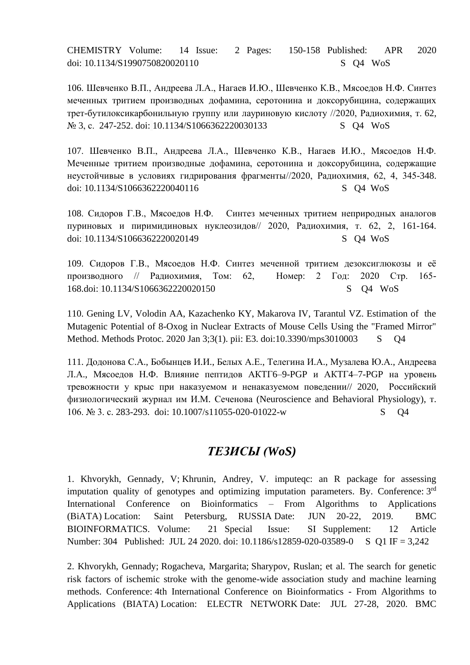CHEMISTRY Volume: 14 Issue: 2 Pages: 150-158 Published: APR 2020 doi: 10.1134/S1990750820020110 S Q4 WoS

106. Шевченко В.П., Андреева Л.А., Нагаев И.Ю., Шевченко К.В., Мясоедов Н.Ф. Синтез меченных тритием производных дофамина, серотонина и доксорубицина, содержащих трет-бутилоксикарбонильную группу или лауриновую кислоту //2020, Радиохимия, т. 62,  $\mathcal{N}_2$  [3,](https://elibrary.ru/contents.asp?id=42801993&selid=42802003) c. 247-252. doi: 10.1134/S1066362220030133 S Q4 WoS

107. Шевченко В.П., Андреева Л.А., Шевченко К.В., Нагаев И.Ю., Мясоедов Н.Ф. Меченные тритием производные дофамина, серотонина и доксорубицина, содержащие неустойчивые в условиях гидрирования фрагменты//2020, Радиохимия, 62, 4, 345-348. doi: 10.1134/S1066362220040116 S O4 WoS

108. Сидоров Г.В., Мясоедов Н.Ф. Синтез меченных тритием неприродных аналогов пуриновых и пиримидиновых нуклеозидов// 2020, Радиохимия, т. 62, 2, 161-164. doi: 10.1134/S1066362220020149 S Q4 WoS

109. Сидоров Г.В., Мясоедов Н.Ф. Синтез меченной тритием дезоксиглюкозы и её производного // Радиохимия, Том: 62, Номер: 2 Год: 2020 Стр. 165- 168.doi: 10.1134/S1066362220020150 S Q4 WoS

110. Gening LV, Volodin AA, Kazachenko KY, Makarova IV, Tarantul VZ. Estimation of the Mutagenic Potential of 8-Oxog in Nuclear Extracts of Mouse Cells Using the "Framed Mirror" Method. Methods Protoc. 2020 Jan 3;3(1). pii: E3. doi:10.3390/mps3010003 S Q4

111. Додонова С.А., Бобынцев И.И., Белых А.Е., Телегина И.А., Музалева Ю.А., Андреева Л.А., Мясоедов Н.Ф. Влияние пептидов АКТГ6–9-PGP и АКТГ4–7-PGP на уровень тревожности у крыс при наказуемом и ненаказуемом поведении// 2020, Российский физиологический журнал им И.М. Сеченова [\(Neuroscience](https://www.scopus.com/sourceid/18043?origin=recordpage) and Behavioral Physiology), т. 106. № 3. с. 283-293. doi: 10.1007/s11055-020-01022-w S Q4

## *ТЕЗИСЫ (WoS)*

1. [Khvorykh, Gennady, V;](http://apps.webofknowledge.com/OutboundService.do?SID=F256CXQsXz3J8PIP8wd&mode=rrcAuthorRecordService&action=go&product=WOS&lang=en_US&daisIds=5368253) [Khrunin, Andrey, V.](http://apps.webofknowledge.com/OutboundService.do?SID=F256CXQsXz3J8PIP8wd&mode=rrcAuthorRecordService&action=go&product=WOS&lang=en_US&daisIds=1291580) [imputeqc: an R package for assessing](http://apps.webofknowledge.com/full_record.do?product=WOS&search_mode=GeneralSearch&qid=5&SID=F256CXQsXz3J8PIP8wd&page=1&doc=1)  [imputation quality of genotypes and optimizing imputation parameters.](http://apps.webofknowledge.com/full_record.do?product=WOS&search_mode=GeneralSearch&qid=5&SID=F256CXQsXz3J8PIP8wd&page=1&doc=1) By. Conference: 3rd International Conference on Bioinformatics – From Algorithms to Applications (BiATA) Location: Saint Petersburg, RUSSIA Date: JUN 20-22, 2019. [BMC](javascript:;)  [BIOINFORMATICS.](javascript:;) Volume: 21 Special Issue: SI Supplement: 12 Article Number: 304 Published: JUL 24 2020. doi: 10.1186/s12859-020-03589-0 S Q1 IF = 3,242

2. [Khvorykh, Gennady;](http://apps.webofknowledge.com/OutboundService.do?SID=F6nyiWqu5Dl5itcwbuk&mode=rrcAuthorRecordService&action=go&product=WOS&lang=en_US&daisIds=42408950) [Rogacheva, Margarita;](http://apps.webofknowledge.com/OutboundService.do?SID=F6nyiWqu5Dl5itcwbuk&mode=rrcAuthorRecordService&action=go&product=WOS&lang=en_US&daisIds=42394062) [Sharypov, Ruslan; et al. The search for genetic](http://apps.webofknowledge.com/full_record.do?product=WOS&search_mode=GeneralSearch&qid=8&SID=F6nyiWqu5Dl5itcwbuk&page=1&doc=2)  [risk factors of ischemic stroke with the genome-wide association study and machine learning](http://apps.webofknowledge.com/full_record.do?product=WOS&search_mode=GeneralSearch&qid=8&SID=F6nyiWqu5Dl5itcwbuk&page=1&doc=2)  [methods.](http://apps.webofknowledge.com/full_record.do?product=WOS&search_mode=GeneralSearch&qid=8&SID=F6nyiWqu5Dl5itcwbuk&page=1&doc=2) Conference: 4th International Conference on Bioinformatics - From Algorithms to Applications (BIATA) Location: ELECTR NETWORK Date: JUL 27-28, 2020. [BMC](javascript:;)